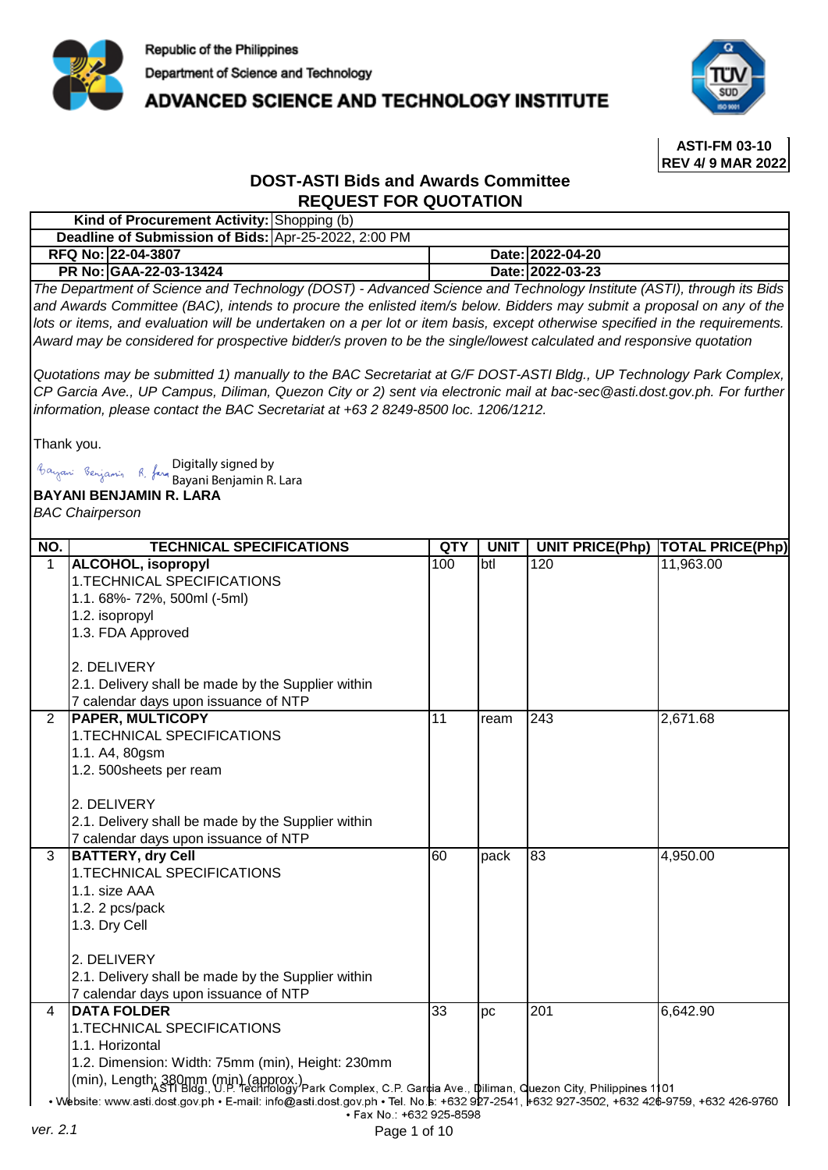

**ADVANCED SCIENCE AND TECHNOLOGY INSTITUTE** 



**ASTI-FM 03-10 REV 4/ 9 MAR 2022**

## **DOST-ASTI Bids and Awards Committee REQUEST FOR QUOTATION**

| Kind of Procurement Activity: Shopping (b)           |                  |
|------------------------------------------------------|------------------|
| Deadline of Submission of Bids: Apr-25-2022, 2:00 PM |                  |
| RFQ No: 22-04-3807                                   | Date:12022-04-20 |
| <b>PR No: GAA-22-03-13424</b>                        | Date: 2022-03-23 |

*The Department of Science and Technology (DOST) - Advanced Science and Technology Institute (ASTI), through its Bids*  and Awards Committee (BAC), intends to procure the enlisted item/s below. Bidders may submit a proposal on any of the lots or items, and evaluation will be undertaken on a per lot or item basis, except otherwise specified in the requirements. *Award may be considered for prospective bidder/s proven to be the single/lowest calculated and responsive quotation* 

Quotations may be submitted 1) manually to the BAC Secretariat at G/F DOST-ASTI Bldg., UP Technology Park Complex, CP Garcia Ave., UP Campus, Diliman, Quezon City or 2) sent via electronic mail at bac-sec@asti.dost.gov.ph. For further *information, please contact the BAC Secretariat at +63 2 8249-8500 loc. 1206/1212.*

Thank you.

Bayani Benjamin R. Jam Digitally signed by

| Bayan: Benjamin R, fan Digitally signed by<br>Bayani Benjamin R. Lara |                                                                                                                                                                     |                 |             |                        |                         |
|-----------------------------------------------------------------------|---------------------------------------------------------------------------------------------------------------------------------------------------------------------|-----------------|-------------|------------------------|-------------------------|
| <b>BAYANI BENJAMIN R. LARA</b>                                        |                                                                                                                                                                     |                 |             |                        |                         |
|                                                                       | <b>BAC Chairperson</b>                                                                                                                                              |                 |             |                        |                         |
|                                                                       |                                                                                                                                                                     |                 |             |                        |                         |
| NO.                                                                   | <b>TECHNICAL SPECIFICATIONS</b>                                                                                                                                     | QTY             | <b>UNIT</b> | <b>UNIT PRICE(Php)</b> | <b>TOTAL PRICE(Php)</b> |
| $\mathbf{1}$                                                          | <b>ALCOHOL, isopropyl</b>                                                                                                                                           | 100             | btl         | 120                    | 11,963.00               |
|                                                                       | 1. TECHNICAL SPECIFICATIONS                                                                                                                                         |                 |             |                        |                         |
|                                                                       | 1.1.68%-72%, 500ml (-5ml)                                                                                                                                           |                 |             |                        |                         |
|                                                                       | 1.2. isopropyl                                                                                                                                                      |                 |             |                        |                         |
|                                                                       | 1.3. FDA Approved                                                                                                                                                   |                 |             |                        |                         |
|                                                                       | 2. DELIVERY                                                                                                                                                         |                 |             |                        |                         |
|                                                                       | 2.1. Delivery shall be made by the Supplier within                                                                                                                  |                 |             |                        |                         |
|                                                                       | 7 calendar days upon issuance of NTP                                                                                                                                |                 |             |                        |                         |
| $\overline{2}$                                                        | <b>PAPER, MULTICOPY</b>                                                                                                                                             | $\overline{11}$ | ream        | $\sqrt{243}$           | 2,671.68                |
|                                                                       | 1. TECHNICAL SPECIFICATIONS                                                                                                                                         |                 |             |                        |                         |
|                                                                       | 1.1. A4, 80gsm                                                                                                                                                      |                 |             |                        |                         |
|                                                                       | 1.2. 500sheets per ream                                                                                                                                             |                 |             |                        |                         |
|                                                                       |                                                                                                                                                                     |                 |             |                        |                         |
|                                                                       | 2. DELIVERY                                                                                                                                                         |                 |             |                        |                         |
|                                                                       | 2.1. Delivery shall be made by the Supplier within                                                                                                                  |                 |             |                        |                         |
|                                                                       | 7 calendar days upon issuance of NTP                                                                                                                                |                 |             |                        |                         |
| 3                                                                     | <b>BATTERY, dry Cell</b>                                                                                                                                            | 60              | pack        | 83                     | 4,950.00                |
|                                                                       | 1. TECHNICAL SPECIFICATIONS                                                                                                                                         |                 |             |                        |                         |
|                                                                       | 1.1. size AAA                                                                                                                                                       |                 |             |                        |                         |
|                                                                       | 1.2. 2 pcs/pack                                                                                                                                                     |                 |             |                        |                         |
|                                                                       | 1.3. Dry Cell                                                                                                                                                       |                 |             |                        |                         |
|                                                                       | 2. DELIVERY                                                                                                                                                         |                 |             |                        |                         |
|                                                                       |                                                                                                                                                                     |                 |             |                        |                         |
|                                                                       | 2.1. Delivery shall be made by the Supplier within                                                                                                                  |                 |             |                        |                         |
| 4                                                                     | 7 calendar days upon issuance of NTP<br><b>DATA FOLDER</b>                                                                                                          | $\overline{33}$ | pc          | 201                    | 6,642.90                |
|                                                                       | 1. TECHNICAL SPECIFICATIONS                                                                                                                                         |                 |             |                        |                         |
|                                                                       | 1.1. Horizontal                                                                                                                                                     |                 |             |                        |                         |
|                                                                       | 1.2. Dimension: Width: 75mm (min), Height: 230mm                                                                                                                    |                 |             |                        |                         |
|                                                                       |                                                                                                                                                                     |                 |             |                        |                         |
|                                                                       | (min), Length; 380mm (min) (approx.)<br>(min), Length; 380mm (min) (approx.)<br>park Complex, C.P. Gardia Ave., diliman, quezon City, Philippines 1101              |                 |             |                        |                         |
|                                                                       | • Website: www.asti.dost.gov.ph • E-mail: info@asti.dost.gov.ph • Tel. No.s: +632 927-2541, +632 927-3502, +632 426-9759, +632 426-9760<br>· Fax No.: +632 925-8598 |                 |             |                        |                         |
| ver. 2.1                                                              | Page 1 of 10                                                                                                                                                        |                 |             |                        |                         |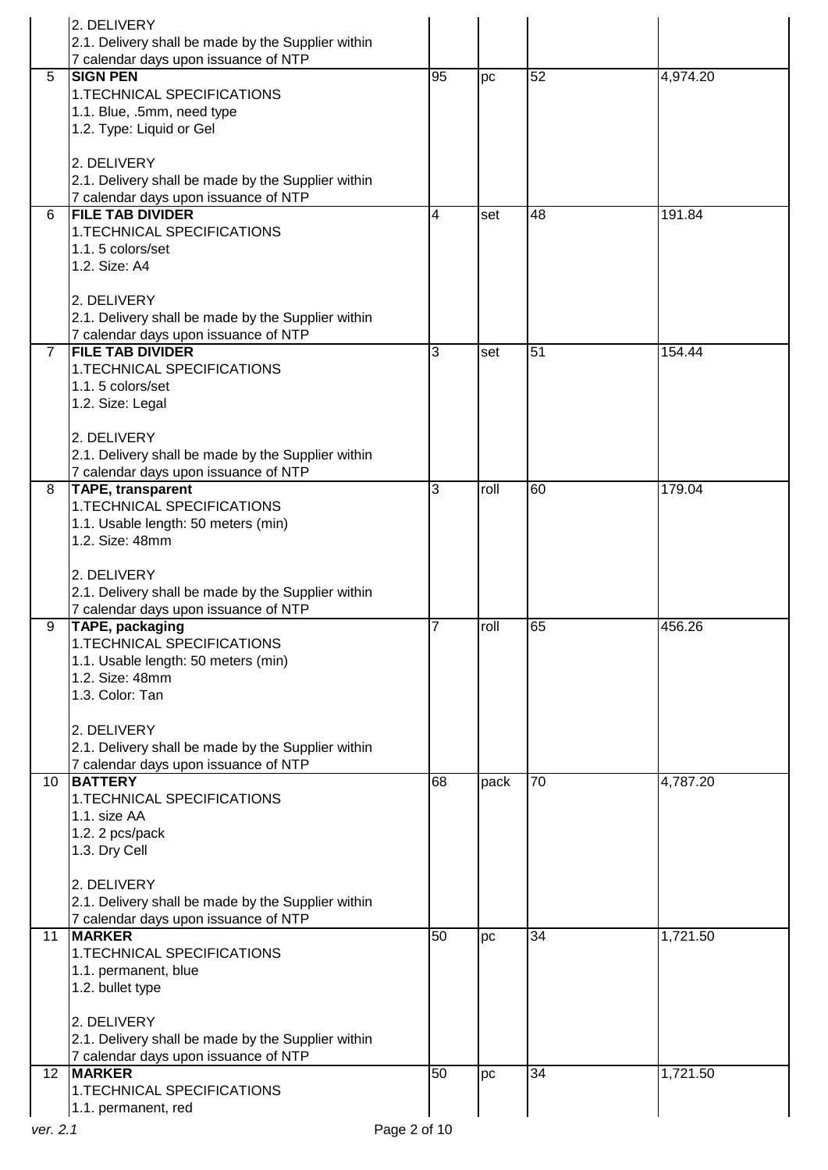|                 | 2. DELIVERY                                            |              |      |                 |          |
|-----------------|--------------------------------------------------------|--------------|------|-----------------|----------|
|                 | 2.1. Delivery shall be made by the Supplier within     |              |      |                 |          |
|                 | 7 calendar days upon issuance of NTP                   |              |      |                 |          |
| 5               | <b>SIGN PEN</b>                                        | 95           | pc   | 52              | 4,974.20 |
|                 | 1.TECHNICAL SPECIFICATIONS                             |              |      |                 |          |
|                 | 1.1. Blue, .5mm, need type                             |              |      |                 |          |
|                 | 1.2. Type: Liquid or Gel                               |              |      |                 |          |
|                 |                                                        |              |      |                 |          |
|                 | 2. DELIVERY                                            |              |      |                 |          |
|                 | 2.1. Delivery shall be made by the Supplier within     |              |      |                 |          |
|                 | 7 calendar days upon issuance of NTP                   |              |      |                 |          |
| 6               | <b>FILE TAB DIVIDER</b>                                | 4            | set  | 48              | 191.84   |
|                 | 1.TECHNICAL SPECIFICATIONS                             |              |      |                 |          |
|                 | 1.1.5 colors/set                                       |              |      |                 |          |
|                 | 1.2. Size: A4                                          |              |      |                 |          |
|                 |                                                        |              |      |                 |          |
|                 | 2. DELIVERY                                            |              |      |                 |          |
|                 | 2.1. Delivery shall be made by the Supplier within     |              |      |                 |          |
|                 | 7 calendar days upon issuance of NTP                   |              |      |                 |          |
| $\overline{7}$  | <b>FILE TAB DIVIDER</b>                                | 3            | set  | 51              | 154.44   |
|                 | 1. TECHNICAL SPECIFICATIONS                            |              |      |                 |          |
|                 | 1.1.5 colors/set                                       |              |      |                 |          |
|                 | 1.2. Size: Legal                                       |              |      |                 |          |
|                 |                                                        |              |      |                 |          |
|                 | 2. DELIVERY                                            |              |      |                 |          |
|                 | 2.1. Delivery shall be made by the Supplier within     |              |      |                 |          |
|                 | 7 calendar days upon issuance of NTP                   |              |      |                 |          |
| 8               | <b>TAPE, transparent</b>                               | 3            | roll | $\overline{60}$ | 179.04   |
|                 | 1.TECHNICAL SPECIFICATIONS                             |              |      |                 |          |
|                 | 1.1. Usable length: 50 meters (min)<br>1.2. Size: 48mm |              |      |                 |          |
|                 |                                                        |              |      |                 |          |
|                 | 2. DELIVERY                                            |              |      |                 |          |
|                 | 2.1. Delivery shall be made by the Supplier within     |              |      |                 |          |
|                 | 7 calendar days upon issuance of NTP                   |              |      |                 |          |
| 9               | <b>TAPE, packaging</b>                                 | 7            | roll | 65              | 456.26   |
|                 | 1.TECHNICAL SPECIFICATIONS                             |              |      |                 |          |
|                 | 1.1. Usable length: 50 meters (min)                    |              |      |                 |          |
|                 | 1.2. Size: 48mm                                        |              |      |                 |          |
|                 | 1.3. Color: Tan                                        |              |      |                 |          |
|                 |                                                        |              |      |                 |          |
|                 | 2. DELIVERY                                            |              |      |                 |          |
|                 | 2.1. Delivery shall be made by the Supplier within     |              |      |                 |          |
|                 | 7 calendar days upon issuance of NTP                   |              |      |                 |          |
| 10              | <b>BATTERY</b>                                         | 68           | pack | 70              | 4,787.20 |
|                 | 1.TECHNICAL SPECIFICATIONS                             |              |      |                 |          |
|                 | 1.1. size AA                                           |              |      |                 |          |
|                 | 1.2. 2 pcs/pack                                        |              |      |                 |          |
|                 | 1.3. Dry Cell                                          |              |      |                 |          |
|                 |                                                        |              |      |                 |          |
|                 | 2. DELIVERY                                            |              |      |                 |          |
|                 | 2.1. Delivery shall be made by the Supplier within     |              |      |                 |          |
|                 | 7 calendar days upon issuance of NTP                   |              |      |                 |          |
| 11              | <b>MARKER</b>                                          | 50           | pc   | 34              | 1,721.50 |
|                 | 1.TECHNICAL SPECIFICATIONS                             |              |      |                 |          |
|                 | 1.1. permanent, blue                                   |              |      |                 |          |
|                 | 1.2. bullet type                                       |              |      |                 |          |
|                 |                                                        |              |      |                 |          |
|                 | 2. DELIVERY                                            |              |      |                 |          |
|                 | 2.1. Delivery shall be made by the Supplier within     |              |      |                 |          |
|                 | 7 calendar days upon issuance of NTP                   |              |      |                 |          |
| 12 <sup>2</sup> | <b>MARKER</b>                                          | 50           | pc   | 34              | 1,721.50 |
|                 | 1.TECHNICAL SPECIFICATIONS                             |              |      |                 |          |
|                 | 1.1. permanent, red                                    |              |      |                 |          |
| ver. 2.1        |                                                        | Page 2 of 10 |      |                 |          |
|                 |                                                        |              |      |                 |          |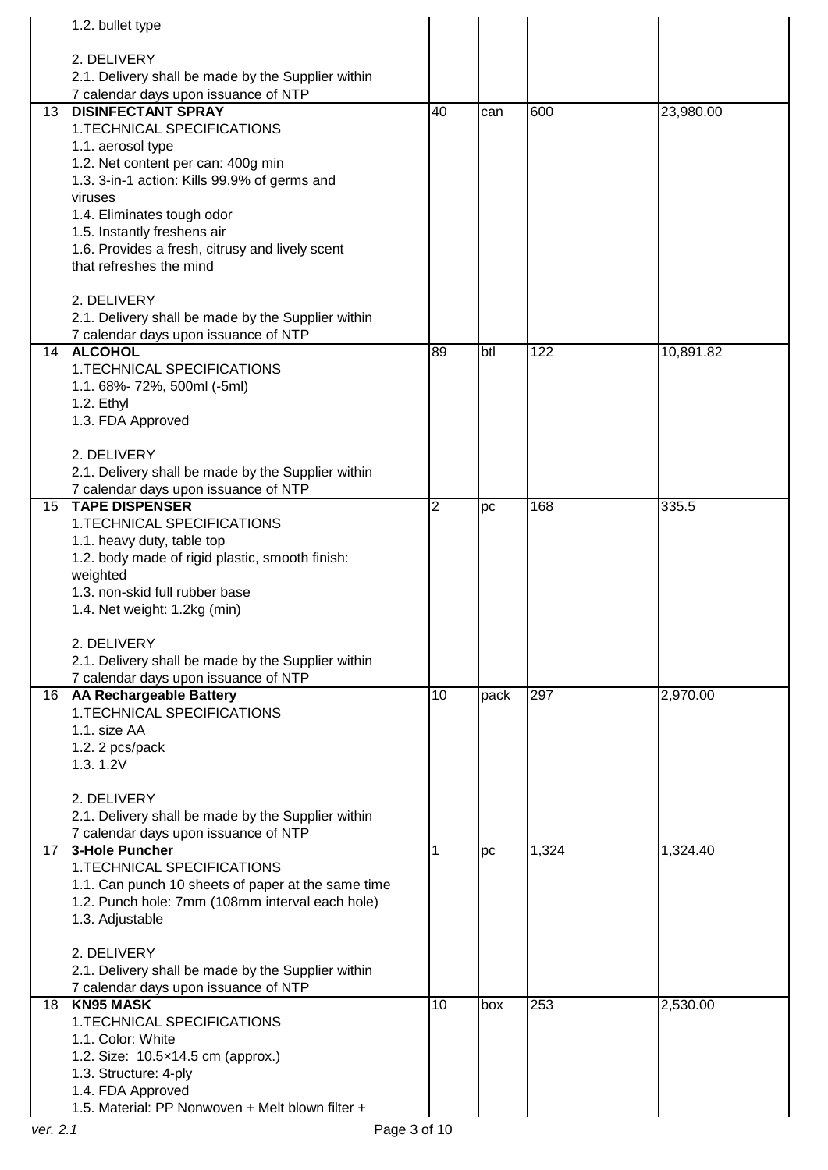|    | 1.2. bullet type                                                               |                 |      |       |           |
|----|--------------------------------------------------------------------------------|-----------------|------|-------|-----------|
|    |                                                                                |                 |      |       |           |
|    | 2. DELIVERY<br>2.1. Delivery shall be made by the Supplier within              |                 |      |       |           |
|    | 7 calendar days upon issuance of NTP                                           |                 |      |       |           |
| 13 | <b>DISINFECTANT SPRAY</b>                                                      | $\overline{40}$ | can  | 600   | 23,980.00 |
|    | 1.TECHNICAL SPECIFICATIONS                                                     |                 |      |       |           |
|    | 1.1. aerosol type                                                              |                 |      |       |           |
|    | 1.2. Net content per can: 400g min                                             |                 |      |       |           |
|    | 1.3. 3-in-1 action: Kills 99.9% of germs and                                   |                 |      |       |           |
|    | viruses                                                                        |                 |      |       |           |
|    | 1.4. Eliminates tough odor                                                     |                 |      |       |           |
|    | 1.5. Instantly freshens air<br>1.6. Provides a fresh, citrusy and lively scent |                 |      |       |           |
|    | that refreshes the mind                                                        |                 |      |       |           |
|    |                                                                                |                 |      |       |           |
|    | 2. DELIVERY                                                                    |                 |      |       |           |
|    | 2.1. Delivery shall be made by the Supplier within                             |                 |      |       |           |
|    | 7 calendar days upon issuance of NTP                                           |                 |      |       |           |
| 14 | <b>ALCOHOL</b>                                                                 | 89              | btl  | 122   | 10,891.82 |
|    | 1.TECHNICAL SPECIFICATIONS                                                     |                 |      |       |           |
|    | 1.1.68%-72%, 500ml (-5ml)                                                      |                 |      |       |           |
|    | 1.2. Ethyl                                                                     |                 |      |       |           |
|    | 1.3. FDA Approved                                                              |                 |      |       |           |
|    | 2. DELIVERY                                                                    |                 |      |       |           |
|    | 2.1. Delivery shall be made by the Supplier within                             |                 |      |       |           |
|    | 7 calendar days upon issuance of NTP                                           |                 |      |       |           |
| 15 | <b>TAPE DISPENSER</b>                                                          | 2               | рc   | 168   | 335.5     |
|    | 1.TECHNICAL SPECIFICATIONS                                                     |                 |      |       |           |
|    | 1.1. heavy duty, table top                                                     |                 |      |       |           |
|    | 1.2. body made of rigid plastic, smooth finish:                                |                 |      |       |           |
|    | weighted                                                                       |                 |      |       |           |
|    | 1.3. non-skid full rubber base                                                 |                 |      |       |           |
|    | 1.4. Net weight: 1.2kg (min)                                                   |                 |      |       |           |
|    | 2. DELIVERY                                                                    |                 |      |       |           |
|    | 2.1. Delivery shall be made by the Supplier within                             |                 |      |       |           |
|    | 7 calendar days upon issuance of NTP                                           |                 |      |       |           |
| 16 | <b>AA Rechargeable Battery</b>                                                 | 10              | pack | 297   | 2,970.00  |
|    | 1.TECHNICAL SPECIFICATIONS                                                     |                 |      |       |           |
|    | 1.1. size AA                                                                   |                 |      |       |           |
|    | 1.2. 2 pcs/pack                                                                |                 |      |       |           |
|    | 1.3.1.2V                                                                       |                 |      |       |           |
|    | 2. DELIVERY                                                                    |                 |      |       |           |
|    | 2.1. Delivery shall be made by the Supplier within                             |                 |      |       |           |
|    | 7 calendar days upon issuance of NTP                                           |                 |      |       |           |
| 17 | 3-Hole Puncher                                                                 | 1               | pc   | 1,324 | 1,324.40  |
|    | 1. TECHNICAL SPECIFICATIONS                                                    |                 |      |       |           |
|    | 1.1. Can punch 10 sheets of paper at the same time                             |                 |      |       |           |
|    | 1.2. Punch hole: 7mm (108mm interval each hole)                                |                 |      |       |           |
|    | 1.3. Adjustable                                                                |                 |      |       |           |
|    | 2. DELIVERY                                                                    |                 |      |       |           |
|    | 2.1. Delivery shall be made by the Supplier within                             |                 |      |       |           |
|    | 7 calendar days upon issuance of NTP                                           |                 |      |       |           |
| 18 | <b>KN95 MASK</b>                                                               | 10              | box  | 253   | 2,530.00  |
|    | 1. TECHNICAL SPECIFICATIONS                                                    |                 |      |       |           |
|    | 1.1. Color: White                                                              |                 |      |       |           |
|    | 1.2. Size: 10.5x14.5 cm (approx.)                                              |                 |      |       |           |
|    | 1.3. Structure: 4-ply                                                          |                 |      |       |           |
|    | 1.4. FDA Approved                                                              |                 |      |       |           |
|    | 1.5. Material: PP Nonwoven + Melt blown filter +                               |                 |      |       |           |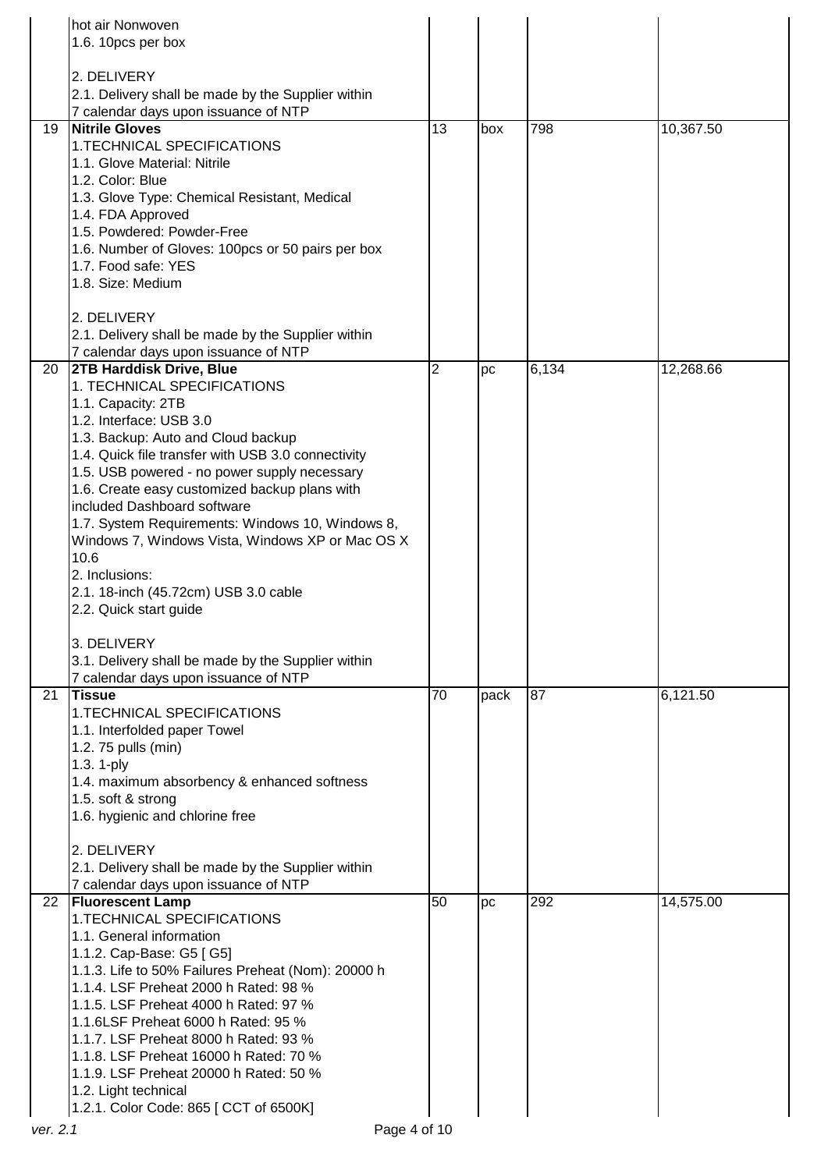|    | hot air Nonwoven                                                                           |                 |      |       |           |
|----|--------------------------------------------------------------------------------------------|-----------------|------|-------|-----------|
|    | 1.6. 10pcs per box                                                                         |                 |      |       |           |
|    | 2. DELIVERY                                                                                |                 |      |       |           |
|    | 2.1. Delivery shall be made by the Supplier within                                         |                 |      |       |           |
|    | 7 calendar days upon issuance of NTP                                                       |                 |      |       |           |
| 19 | <b>Nitrile Gloves</b><br>1.TECHNICAL SPECIFICATIONS                                        | $\overline{13}$ | box  | 798   | 10,367.50 |
|    | 1.1. Glove Material: Nitrile                                                               |                 |      |       |           |
|    | 1.2. Color: Blue                                                                           |                 |      |       |           |
|    | 1.3. Glove Type: Chemical Resistant, Medical                                               |                 |      |       |           |
|    | 1.4. FDA Approved                                                                          |                 |      |       |           |
|    | 1.5. Powdered: Powder-Free<br>1.6. Number of Gloves: 100pcs or 50 pairs per box            |                 |      |       |           |
|    | 1.7. Food safe: YES                                                                        |                 |      |       |           |
|    | 1.8. Size: Medium                                                                          |                 |      |       |           |
|    | 2. DELIVERY                                                                                |                 |      |       |           |
|    | 2.1. Delivery shall be made by the Supplier within                                         |                 |      |       |           |
|    | 7 calendar days upon issuance of NTP                                                       |                 |      |       |           |
| 20 | 2TB Harddisk Drive, Blue                                                                   | $\overline{2}$  | pc   | 6,134 | 12,268.66 |
|    | 1. TECHNICAL SPECIFICATIONS                                                                |                 |      |       |           |
|    | 1.1. Capacity: 2TB<br>1.2. Interface: USB 3.0                                              |                 |      |       |           |
|    | 1.3. Backup: Auto and Cloud backup                                                         |                 |      |       |           |
|    | 1.4. Quick file transfer with USB 3.0 connectivity                                         |                 |      |       |           |
|    | 1.5. USB powered - no power supply necessary                                               |                 |      |       |           |
|    | 1.6. Create easy customized backup plans with<br>included Dashboard software               |                 |      |       |           |
|    | 1.7. System Requirements: Windows 10, Windows 8,                                           |                 |      |       |           |
|    | Windows 7, Windows Vista, Windows XP or Mac OS X                                           |                 |      |       |           |
|    | 10.6                                                                                       |                 |      |       |           |
|    | 2. Inclusions:<br>2.1. 18-inch (45.72cm) USB 3.0 cable                                     |                 |      |       |           |
|    | 2.2. Quick start guide                                                                     |                 |      |       |           |
|    |                                                                                            |                 |      |       |           |
|    | 3. DELIVERY                                                                                |                 |      |       |           |
|    | 3.1. Delivery shall be made by the Supplier within<br>7 calendar days upon issuance of NTP |                 |      |       |           |
| 21 | <b>Tissue</b>                                                                              | 70              | pack | 87    | 6,121.50  |
|    | 1. TECHNICAL SPECIFICATIONS                                                                |                 |      |       |           |
|    | 1.1. Interfolded paper Towel                                                               |                 |      |       |           |
|    | 1.2. 75 pulls (min)                                                                        |                 |      |       |           |
|    | 1.3. 1-ply<br>1.4. maximum absorbency & enhanced softness                                  |                 |      |       |           |
|    | 1.5. soft & strong                                                                         |                 |      |       |           |
|    | 1.6. hygienic and chlorine free                                                            |                 |      |       |           |
|    | 2. DELIVERY                                                                                |                 |      |       |           |
|    | 2.1. Delivery shall be made by the Supplier within                                         |                 |      |       |           |
|    | 7 calendar days upon issuance of NTP                                                       |                 |      |       |           |
| 22 | <b>Fluorescent Lamp</b>                                                                    | 50              | pc   | 292   | 14,575.00 |
|    | 1. TECHNICAL SPECIFICATIONS<br>1.1. General information                                    |                 |      |       |           |
|    | 1.1.2. Cap-Base: G5 [ G5]                                                                  |                 |      |       |           |
|    | 1.1.3. Life to 50% Failures Preheat (Nom): 20000 h                                         |                 |      |       |           |
|    | 1.1.4. LSF Preheat 2000 h Rated: 98 %                                                      |                 |      |       |           |
|    | 1.1.5. LSF Preheat 4000 h Rated: 97 %<br>1.1.6LSF Preheat 6000 h Rated: 95 %               |                 |      |       |           |
|    | 1.1.7. LSF Preheat 8000 h Rated: 93 %                                                      |                 |      |       |           |
|    | 1.1.8. LSF Preheat 16000 h Rated: 70 %                                                     |                 |      |       |           |
|    | 1.1.9. LSF Preheat 20000 h Rated: 50 %                                                     |                 |      |       |           |
|    | 1.2. Light technical                                                                       |                 |      |       |           |
|    | 1.2.1. Color Code: 865 [ CCT of 6500K]                                                     |                 |      |       |           |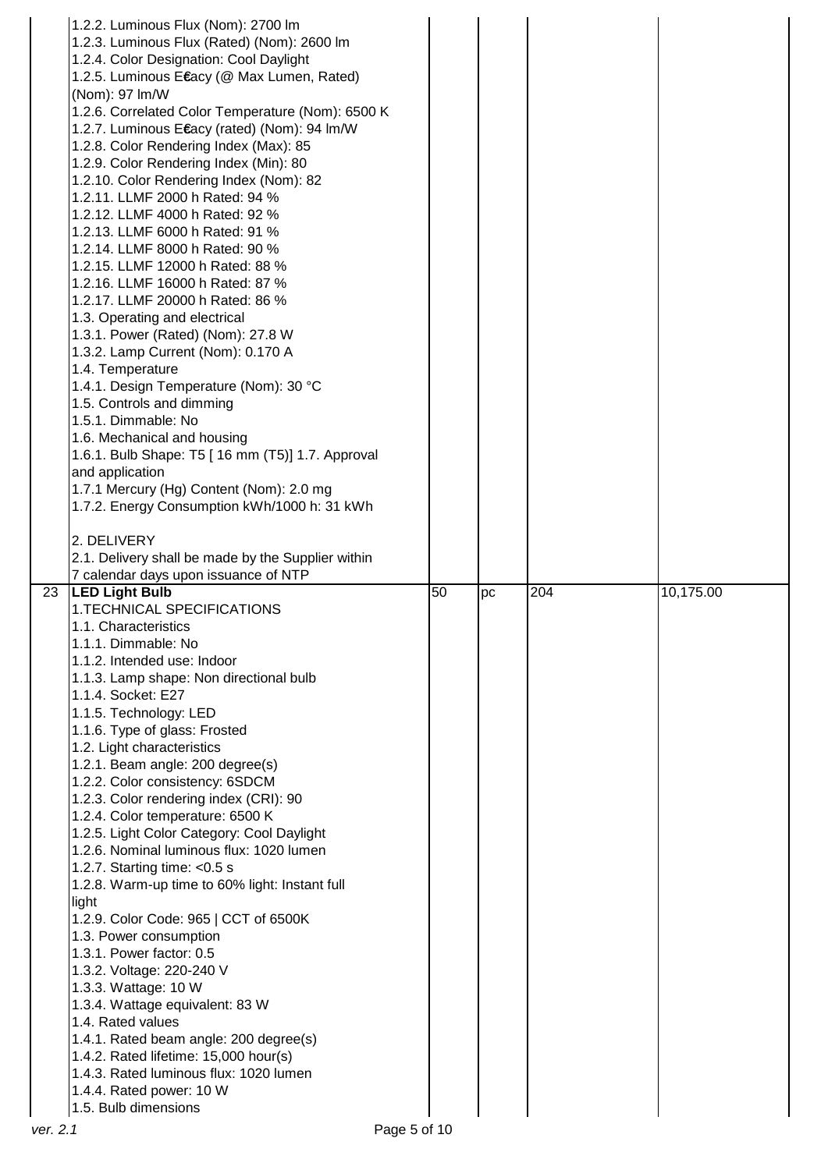|    | 1.2.2. Luminous Flux (Nom): 2700 lm                |    |    |     |           |
|----|----------------------------------------------------|----|----|-----|-----------|
|    | 1.2.3. Luminous Flux (Rated) (Nom): 2600 lm        |    |    |     |           |
|    | 1.2.4. Color Designation: Cool Daylight            |    |    |     |           |
|    | 1.2.5. Luminous Etacy (@ Max Lumen, Rated)         |    |    |     |           |
|    | (Nom): 97 Im/W                                     |    |    |     |           |
|    | 1.2.6. Correlated Color Temperature (Nom): 6500 K  |    |    |     |           |
|    | 1.2.7. Luminous Ecacy (rated) (Nom): 94 Im/W       |    |    |     |           |
|    | 1.2.8. Color Rendering Index (Max): 85             |    |    |     |           |
|    | 1.2.9. Color Rendering Index (Min): 80             |    |    |     |           |
|    | 1.2.10. Color Rendering Index (Nom): 82            |    |    |     |           |
|    | 1.2.11. LLMF 2000 h Rated: 94 %                    |    |    |     |           |
|    | 1.2.12. LLMF 4000 h Rated: 92 %                    |    |    |     |           |
|    |                                                    |    |    |     |           |
|    | 1.2.13. LLMF 6000 h Rated: 91 %                    |    |    |     |           |
|    | 1.2.14. LLMF 8000 h Rated: 90 %                    |    |    |     |           |
|    | 1.2.15. LLMF 12000 h Rated: 88 %                   |    |    |     |           |
|    | 1.2.16. LLMF 16000 h Rated: 87 %                   |    |    |     |           |
|    | 1.2.17. LLMF 20000 h Rated: 86 %                   |    |    |     |           |
|    | 1.3. Operating and electrical                      |    |    |     |           |
|    | 1.3.1. Power (Rated) (Nom): 27.8 W                 |    |    |     |           |
|    | 1.3.2. Lamp Current (Nom): 0.170 A                 |    |    |     |           |
|    | 1.4. Temperature                                   |    |    |     |           |
|    | 1.4.1. Design Temperature (Nom): 30 °C             |    |    |     |           |
|    | 1.5. Controls and dimming                          |    |    |     |           |
|    | 1.5.1. Dimmable: No                                |    |    |     |           |
|    | 1.6. Mechanical and housing                        |    |    |     |           |
|    | 1.6.1. Bulb Shape: T5 [ 16 mm (T5)] 1.7. Approval  |    |    |     |           |
|    | and application                                    |    |    |     |           |
|    | 1.7.1 Mercury (Hg) Content (Nom): 2.0 mg           |    |    |     |           |
|    | 1.7.2. Energy Consumption kWh/1000 h: 31 kWh       |    |    |     |           |
|    |                                                    |    |    |     |           |
|    | 2. DELIVERY                                        |    |    |     |           |
|    | 2.1. Delivery shall be made by the Supplier within |    |    |     |           |
|    |                                                    |    |    |     |           |
|    | 7 calendar days upon issuance of NTP               |    |    |     |           |
| 23 | <b>LED Light Bulb</b>                              | 50 | pc | 204 | 10,175.00 |
|    | <b>1.TECHNICAL SPECIFICATIONS</b>                  |    |    |     |           |
|    | 1.1. Characteristics                               |    |    |     |           |
|    | 1.1.1. Dimmable: No                                |    |    |     |           |
|    | 1.1.2. Intended use: Indoor                        |    |    |     |           |
|    |                                                    |    |    |     |           |
|    | 1.1.3. Lamp shape: Non directional bulb            |    |    |     |           |
|    | 1.1.4. Socket: E27                                 |    |    |     |           |
|    | 1.1.5. Technology: LED                             |    |    |     |           |
|    | 1.1.6. Type of glass: Frosted                      |    |    |     |           |
|    | 1.2. Light characteristics                         |    |    |     |           |
|    | 1.2.1. Beam angle: 200 degree(s)                   |    |    |     |           |
|    | 1.2.2. Color consistency: 6SDCM                    |    |    |     |           |
|    | 1.2.3. Color rendering index (CRI): 90             |    |    |     |           |
|    | 1.2.4. Color temperature: 6500 K                   |    |    |     |           |
|    | 1.2.5. Light Color Category: Cool Daylight         |    |    |     |           |
|    | 1.2.6. Nominal luminous flux: 1020 lumen           |    |    |     |           |
|    | 1.2.7. Starting time: $<$ 0.5 s                    |    |    |     |           |
|    | 1.2.8. Warm-up time to 60% light: Instant full     |    |    |     |           |
|    | light                                              |    |    |     |           |
|    | 1.2.9. Color Code: 965   CCT of 6500K              |    |    |     |           |
|    | 1.3. Power consumption                             |    |    |     |           |
|    | 1.3.1. Power factor: 0.5                           |    |    |     |           |
|    | 1.3.2. Voltage: 220-240 V                          |    |    |     |           |
|    | 1.3.3. Wattage: 10 W                               |    |    |     |           |
|    | 1.3.4. Wattage equivalent: 83 W                    |    |    |     |           |
|    | 1.4. Rated values                                  |    |    |     |           |
|    | 1.4.1. Rated beam angle: 200 degree(s)             |    |    |     |           |
|    | 1.4.2. Rated lifetime: 15,000 hour(s)              |    |    |     |           |
|    | 1.4.3. Rated luminous flux: 1020 lumen             |    |    |     |           |
|    | 1.4.4. Rated power: 10 W<br>1.5. Bulb dimensions   |    |    |     |           |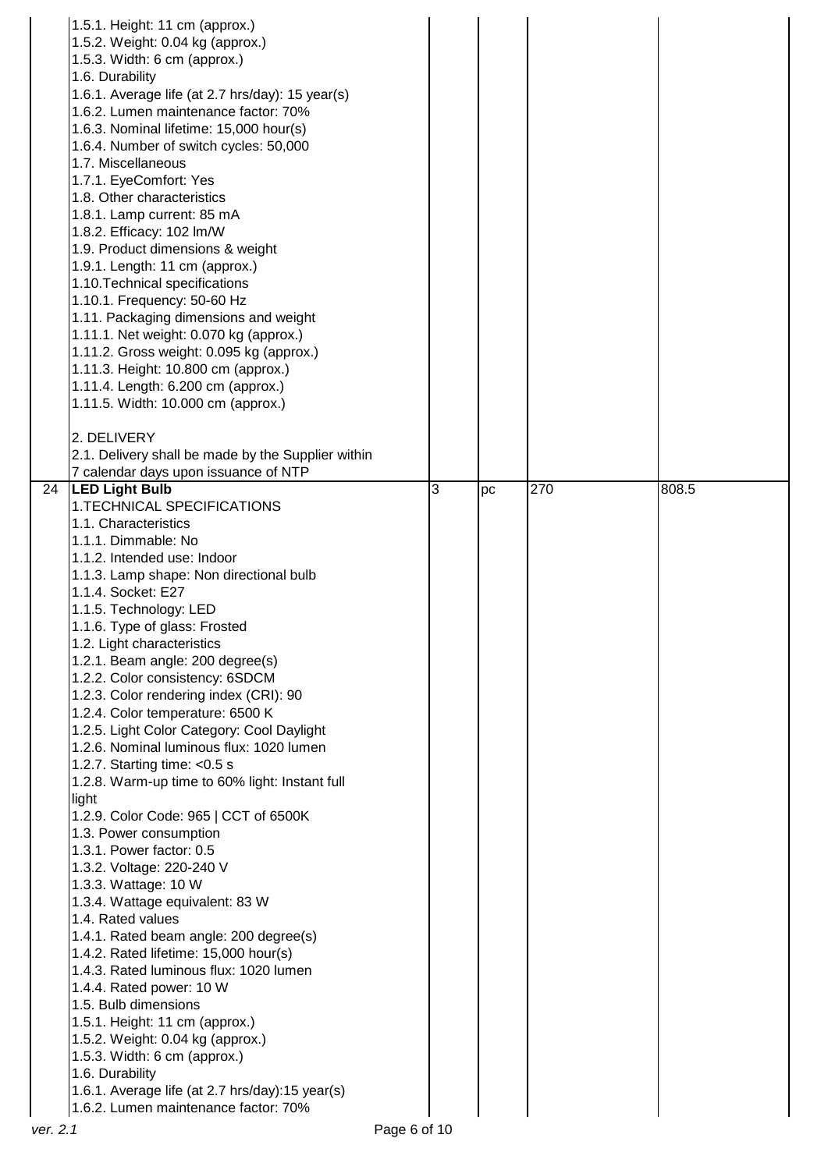|                 | 1.5.1. Height: 11 cm (approx.)                                                          |   |    |     |       |
|-----------------|-----------------------------------------------------------------------------------------|---|----|-----|-------|
|                 | 1.5.2. Weight: 0.04 kg (approx.)                                                        |   |    |     |       |
|                 | 1.5.3. Width: 6 cm (approx.)                                                            |   |    |     |       |
|                 | 1.6. Durability                                                                         |   |    |     |       |
|                 | 1.6.1. Average life (at 2.7 hrs/day): 15 year(s)                                        |   |    |     |       |
|                 | 1.6.2. Lumen maintenance factor: 70%                                                    |   |    |     |       |
|                 | 1.6.3. Nominal lifetime: 15,000 hour(s)                                                 |   |    |     |       |
|                 | 1.6.4. Number of switch cycles: 50,000                                                  |   |    |     |       |
|                 | 1.7. Miscellaneous                                                                      |   |    |     |       |
|                 |                                                                                         |   |    |     |       |
|                 | 1.7.1. EyeComfort: Yes                                                                  |   |    |     |       |
|                 | 1.8. Other characteristics                                                              |   |    |     |       |
|                 | 1.8.1. Lamp current: 85 mA                                                              |   |    |     |       |
|                 | 1.8.2. Efficacy: 102 Im/W                                                               |   |    |     |       |
|                 | 1.9. Product dimensions & weight                                                        |   |    |     |       |
|                 | 1.9.1. Length: 11 cm (approx.)                                                          |   |    |     |       |
|                 | 1.10. Technical specifications                                                          |   |    |     |       |
|                 | 1.10.1. Frequency: 50-60 Hz                                                             |   |    |     |       |
|                 | 1.11. Packaging dimensions and weight                                                   |   |    |     |       |
|                 | 1.11.1. Net weight: 0.070 kg (approx.)                                                  |   |    |     |       |
|                 | 1.11.2. Gross weight: 0.095 kg (approx.)                                                |   |    |     |       |
|                 | 1.11.3. Height: 10.800 cm (approx.)                                                     |   |    |     |       |
|                 | 1.11.4. Length: 6.200 cm (approx.)                                                      |   |    |     |       |
|                 | 1.11.5. Width: 10.000 cm (approx.)                                                      |   |    |     |       |
|                 |                                                                                         |   |    |     |       |
|                 | 2. DELIVERY                                                                             |   |    |     |       |
|                 | 2.1. Delivery shall be made by the Supplier within                                      |   |    |     |       |
|                 | 7 calendar days upon issuance of NTP                                                    |   |    |     |       |
| $\overline{24}$ | <b>LED Light Bulb</b>                                                                   | 3 | pc | 270 | 808.5 |
|                 | 1.TECHNICAL SPECIFICATIONS                                                              |   |    |     |       |
|                 | 1.1. Characteristics                                                                    |   |    |     |       |
|                 | 1.1.1. Dimmable: No                                                                     |   |    |     |       |
|                 | 1.1.2. Intended use: Indoor                                                             |   |    |     |       |
|                 |                                                                                         |   |    |     |       |
|                 |                                                                                         |   |    |     |       |
|                 | 1.1.3. Lamp shape: Non directional bulb                                                 |   |    |     |       |
|                 | 1.1.4. Socket: E27                                                                      |   |    |     |       |
|                 | 1.1.5. Technology: LED                                                                  |   |    |     |       |
|                 | 1.1.6. Type of glass: Frosted                                                           |   |    |     |       |
|                 | 1.2. Light characteristics                                                              |   |    |     |       |
|                 | 1.2.1. Beam angle: 200 degree(s)                                                        |   |    |     |       |
|                 | 1.2.2. Color consistency: 6SDCM                                                         |   |    |     |       |
|                 | 1.2.3. Color rendering index (CRI): 90                                                  |   |    |     |       |
|                 | 1.2.4. Color temperature: 6500 K                                                        |   |    |     |       |
|                 | 1.2.5. Light Color Category: Cool Daylight                                              |   |    |     |       |
|                 | 1.2.6. Nominal luminous flux: 1020 lumen                                                |   |    |     |       |
|                 | 1.2.7. Starting time: $<$ 0.5 s                                                         |   |    |     |       |
|                 | 1.2.8. Warm-up time to 60% light: Instant full                                          |   |    |     |       |
|                 | light                                                                                   |   |    |     |       |
|                 |                                                                                         |   |    |     |       |
|                 | 1.2.9. Color Code: 965   CCT of 6500K                                                   |   |    |     |       |
|                 | 1.3. Power consumption                                                                  |   |    |     |       |
|                 | 1.3.1. Power factor: 0.5                                                                |   |    |     |       |
|                 | 1.3.2. Voltage: 220-240 V                                                               |   |    |     |       |
|                 | 1.3.3. Wattage: 10 W                                                                    |   |    |     |       |
|                 | 1.3.4. Wattage equivalent: 83 W                                                         |   |    |     |       |
|                 | 1.4. Rated values                                                                       |   |    |     |       |
|                 | 1.4.1. Rated beam angle: 200 degree(s)                                                  |   |    |     |       |
|                 | 1.4.2. Rated lifetime: 15,000 hour(s)                                                   |   |    |     |       |
|                 | 1.4.3. Rated luminous flux: 1020 lumen                                                  |   |    |     |       |
|                 | 1.4.4. Rated power: 10 W                                                                |   |    |     |       |
|                 | 1.5. Bulb dimensions                                                                    |   |    |     |       |
|                 | 1.5.1. Height: 11 cm (approx.)                                                          |   |    |     |       |
|                 | 1.5.2. Weight: 0.04 kg (approx.)                                                        |   |    |     |       |
|                 | 1.5.3. Width: 6 cm (approx.)                                                            |   |    |     |       |
|                 | 1.6. Durability                                                                         |   |    |     |       |
|                 | 1.6.1. Average life (at 2.7 hrs/day):15 year(s)<br>1.6.2. Lumen maintenance factor: 70% |   |    |     |       |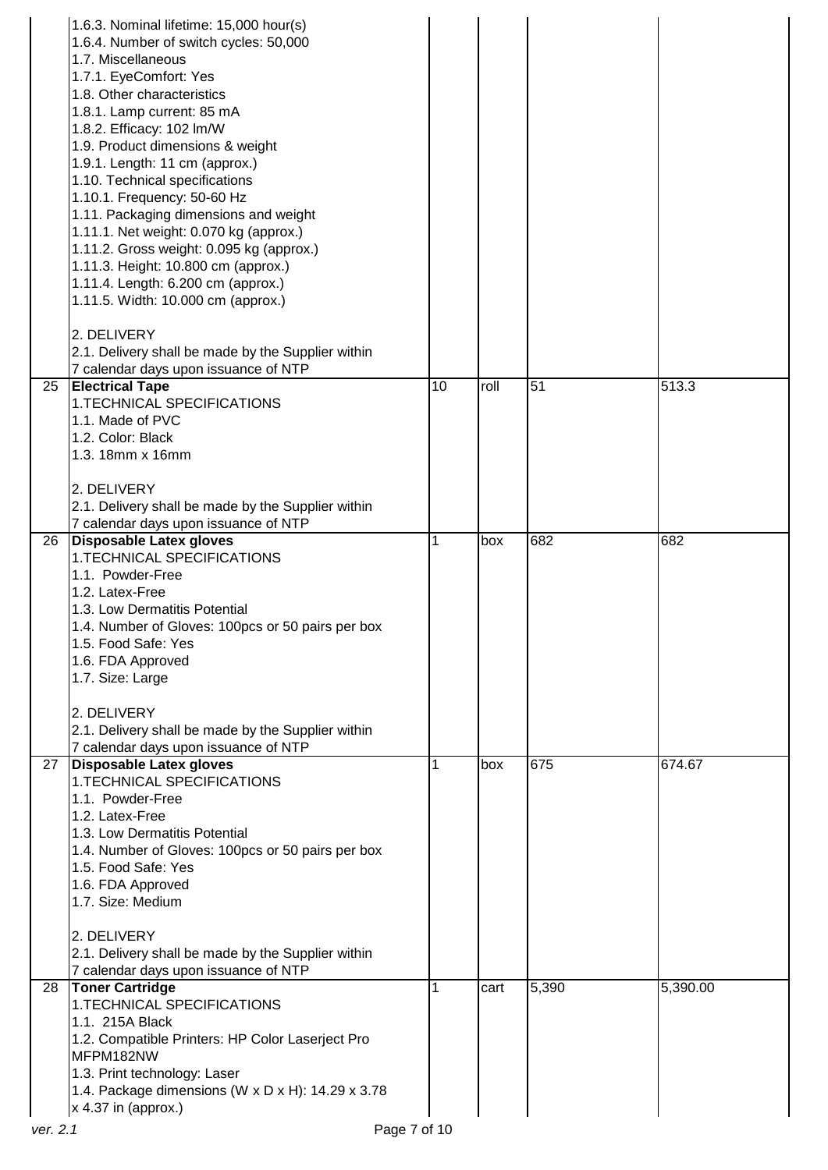|          | 1.6.3. Nominal lifetime: 15,000 hour(s)                                         |    |      |       |          |
|----------|---------------------------------------------------------------------------------|----|------|-------|----------|
|          | 1.6.4. Number of switch cycles: 50,000<br>1.7. Miscellaneous                    |    |      |       |          |
|          | 1.7.1. EyeComfort: Yes                                                          |    |      |       |          |
|          | 1.8. Other characteristics                                                      |    |      |       |          |
|          | 1.8.1. Lamp current: 85 mA                                                      |    |      |       |          |
|          | 1.8.2. Efficacy: 102 Im/W                                                       |    |      |       |          |
|          | 1.9. Product dimensions & weight                                                |    |      |       |          |
|          | 1.9.1. Length: 11 cm (approx.)                                                  |    |      |       |          |
|          | 1.10. Technical specifications                                                  |    |      |       |          |
|          | 1.10.1. Frequency: 50-60 Hz                                                     |    |      |       |          |
|          | 1.11. Packaging dimensions and weight                                           |    |      |       |          |
|          | 1.11.1. Net weight: 0.070 kg (approx.)                                          |    |      |       |          |
|          | 1.11.2. Gross weight: 0.095 kg (approx.)<br>1.11.3. Height: 10.800 cm (approx.) |    |      |       |          |
|          | 1.11.4. Length: 6.200 cm (approx.)                                              |    |      |       |          |
|          | 1.11.5. Width: 10.000 cm (approx.)                                              |    |      |       |          |
|          |                                                                                 |    |      |       |          |
|          | 2. DELIVERY                                                                     |    |      |       |          |
|          | 2.1. Delivery shall be made by the Supplier within                              |    |      |       |          |
|          | 7 calendar days upon issuance of NTP                                            |    |      |       |          |
| 25       | <b>Electrical Tape</b>                                                          | 10 | roll | 51    | 513.3    |
|          | 1.TECHNICAL SPECIFICATIONS                                                      |    |      |       |          |
|          | 1.1. Made of PVC                                                                |    |      |       |          |
|          | 1.2. Color: Black                                                               |    |      |       |          |
|          | 1.3. 18mm x 16mm                                                                |    |      |       |          |
|          | 2. DELIVERY                                                                     |    |      |       |          |
|          | 2.1. Delivery shall be made by the Supplier within                              |    |      |       |          |
|          | 7 calendar days upon issuance of NTP                                            |    |      |       |          |
| 26       | Disposable Latex gloves                                                         |    | box  | 682   | 682      |
|          | 1.TECHNICAL SPECIFICATIONS                                                      |    |      |       |          |
|          | 1.1. Powder-Free                                                                |    |      |       |          |
|          | 1.2. Latex-Free                                                                 |    |      |       |          |
|          | 1.3. Low Dermatitis Potential                                                   |    |      |       |          |
|          | 1.4. Number of Gloves: 100pcs or 50 pairs per box                               |    |      |       |          |
|          | 1.5. Food Safe: Yes                                                             |    |      |       |          |
|          | 1.6. FDA Approved                                                               |    |      |       |          |
|          | 1.7. Size: Large                                                                |    |      |       |          |
|          | 2. DELIVERY                                                                     |    |      |       |          |
|          | 2.1. Delivery shall be made by the Supplier within                              |    |      |       |          |
|          | 7 calendar days upon issuance of NTP                                            |    |      |       |          |
| 27       | Disposable Latex gloves                                                         |    | box  | 675   | 674.67   |
|          | 1. TECHNICAL SPECIFICATIONS                                                     |    |      |       |          |
|          | 1.1. Powder-Free                                                                |    |      |       |          |
|          | 1.2. Latex-Free                                                                 |    |      |       |          |
|          | 1.3. Low Dermatitis Potential                                                   |    |      |       |          |
|          | 1.4. Number of Gloves: 100pcs or 50 pairs per box                               |    |      |       |          |
|          | 1.5. Food Safe: Yes                                                             |    |      |       |          |
|          | 1.6. FDA Approved<br>1.7. Size: Medium                                          |    |      |       |          |
|          |                                                                                 |    |      |       |          |
|          | 2. DELIVERY                                                                     |    |      |       |          |
|          | 2.1. Delivery shall be made by the Supplier within                              |    |      |       |          |
|          | 7 calendar days upon issuance of NTP                                            |    |      |       |          |
| 28       | <b>Toner Cartridge</b>                                                          |    | cart | 5,390 | 5,390.00 |
|          | 1.TECHNICAL SPECIFICATIONS                                                      |    |      |       |          |
|          | 1.1. 215A Black                                                                 |    |      |       |          |
|          | 1.2. Compatible Printers: HP Color Laserject Pro                                |    |      |       |          |
|          | MFPM182NW                                                                       |    |      |       |          |
|          | 1.3. Print technology: Laser                                                    |    |      |       |          |
|          | 1.4. Package dimensions (W x D x H): 14.29 x 3.78                               |    |      |       |          |
| ver. 2.1 | $x$ 4.37 in (approx.)                                                           |    |      |       |          |
|          | Page 7 of 10                                                                    |    |      |       |          |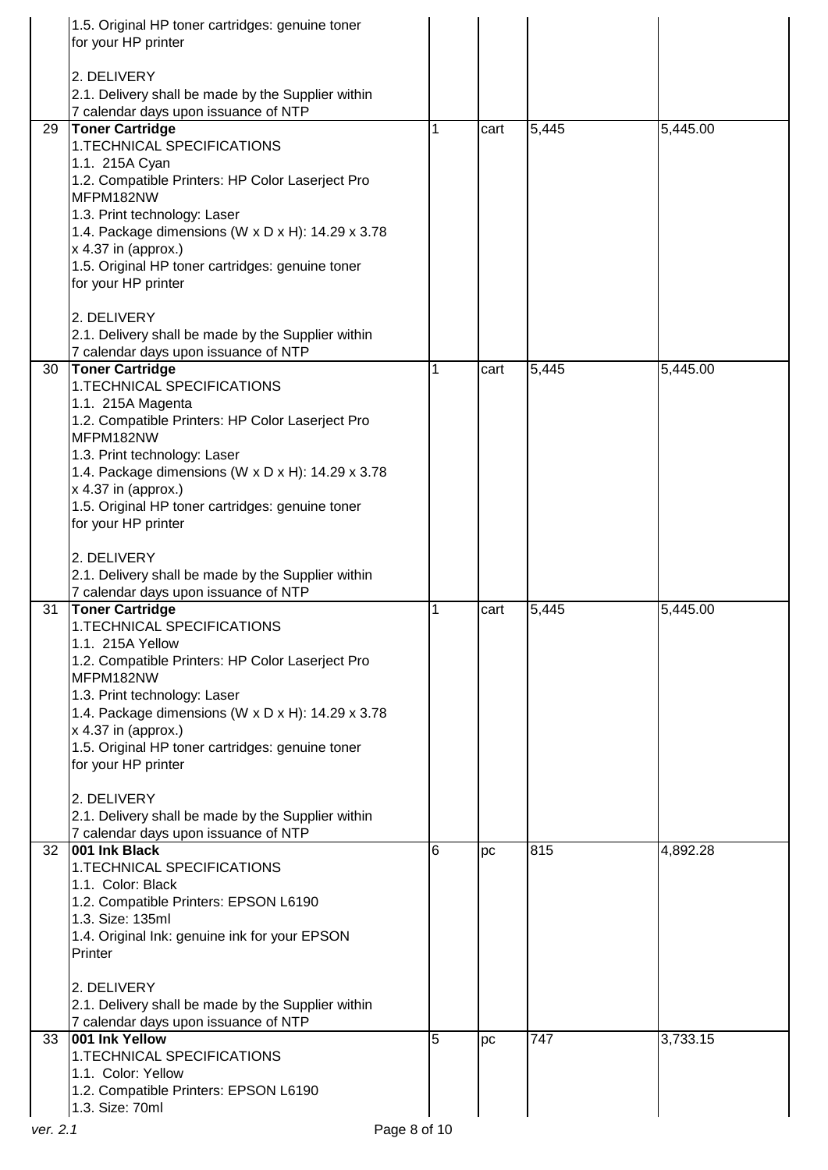|          | 1.5. Original HP toner cartridges: genuine toner<br>for your HP printer                    |   |      |       |          |  |
|----------|--------------------------------------------------------------------------------------------|---|------|-------|----------|--|
|          |                                                                                            |   |      |       |          |  |
|          | 2. DELIVERY<br>2.1. Delivery shall be made by the Supplier within                          |   |      |       |          |  |
|          | 7 calendar days upon issuance of NTP                                                       |   |      |       |          |  |
| 29       | <b>Toner Cartridge</b>                                                                     |   | cart | 5,445 | 5,445.00 |  |
|          | 1.TECHNICAL SPECIFICATIONS                                                                 |   |      |       |          |  |
|          | 1.1. 215A Cyan                                                                             |   |      |       |          |  |
|          | 1.2. Compatible Printers: HP Color Laserject Pro                                           |   |      |       |          |  |
|          | MFPM182NW                                                                                  |   |      |       |          |  |
|          | 1.3. Print technology: Laser                                                               |   |      |       |          |  |
|          | 1.4. Package dimensions (W x D x H): 14.29 x 3.78<br>$x$ 4.37 in (approx.)                 |   |      |       |          |  |
|          | 1.5. Original HP toner cartridges: genuine toner                                           |   |      |       |          |  |
|          | for your HP printer                                                                        |   |      |       |          |  |
|          | 2. DELIVERY                                                                                |   |      |       |          |  |
|          | 2.1. Delivery shall be made by the Supplier within                                         |   |      |       |          |  |
|          | 7 calendar days upon issuance of NTP                                                       |   |      |       |          |  |
| 30       | <b>Toner Cartridge</b>                                                                     | 1 | cart | 5,445 | 5,445.00 |  |
|          | 1.TECHNICAL SPECIFICATIONS                                                                 |   |      |       |          |  |
|          | 1.1. 215A Magenta<br>1.2. Compatible Printers: HP Color Laserject Pro                      |   |      |       |          |  |
|          | MFPM182NW                                                                                  |   |      |       |          |  |
|          | 1.3. Print technology: Laser                                                               |   |      |       |          |  |
|          | 1.4. Package dimensions (W x D x H): 14.29 x 3.78                                          |   |      |       |          |  |
|          | $x$ 4.37 in (approx.)                                                                      |   |      |       |          |  |
|          | 1.5. Original HP toner cartridges: genuine toner                                           |   |      |       |          |  |
|          | for your HP printer                                                                        |   |      |       |          |  |
|          | 2. DELIVERY                                                                                |   |      |       |          |  |
|          | 2.1. Delivery shall be made by the Supplier within                                         |   |      |       |          |  |
|          | 7 calendar days upon issuance of NTP                                                       |   |      |       |          |  |
| 31       | <b>Toner Cartridge</b>                                                                     | 1 | cart | 5,445 | 5,445.00 |  |
|          | 1.TECHNICAL SPECIFICATIONS                                                                 |   |      |       |          |  |
|          | 1.1. 215A Yellow<br>1.2. Compatible Printers: HP Color Laserject Pro                       |   |      |       |          |  |
|          | MFPM182NW                                                                                  |   |      |       |          |  |
|          | 1.3. Print technology: Laser                                                               |   |      |       |          |  |
|          | 1.4. Package dimensions (W x D x H): 14.29 x 3.78                                          |   |      |       |          |  |
|          | $x$ 4.37 in (approx.)                                                                      |   |      |       |          |  |
|          | 1.5. Original HP toner cartridges: genuine toner                                           |   |      |       |          |  |
|          | for your HP printer                                                                        |   |      |       |          |  |
|          | 2. DELIVERY                                                                                |   |      |       |          |  |
|          | 2.1. Delivery shall be made by the Supplier within                                         |   |      |       |          |  |
|          | 7 calendar days upon issuance of NTP                                                       |   |      |       |          |  |
| 32       | 001 Ink Black                                                                              | 6 | pc   | 815   | 4,892.28 |  |
|          | 1.TECHNICAL SPECIFICATIONS                                                                 |   |      |       |          |  |
|          | 1.1. Color: Black                                                                          |   |      |       |          |  |
|          | 1.2. Compatible Printers: EPSON L6190<br>1.3. Size: 135ml                                  |   |      |       |          |  |
|          | 1.4. Original Ink: genuine ink for your EPSON                                              |   |      |       |          |  |
|          | Printer                                                                                    |   |      |       |          |  |
|          |                                                                                            |   |      |       |          |  |
|          | 2. DELIVERY                                                                                |   |      |       |          |  |
|          | 2.1. Delivery shall be made by the Supplier within<br>7 calendar days upon issuance of NTP |   |      |       |          |  |
| 33       | 001 Ink Yellow                                                                             | 5 | pc   | 747   | 3,733.15 |  |
|          | 1.TECHNICAL SPECIFICATIONS                                                                 |   |      |       |          |  |
|          | 1.1. Color: Yellow                                                                         |   |      |       |          |  |
|          | 1.2. Compatible Printers: EPSON L6190                                                      |   |      |       |          |  |
|          | 1.3. Size: 70ml                                                                            |   |      |       |          |  |
| ver. 2.1 | Page 8 of 10                                                                               |   |      |       |          |  |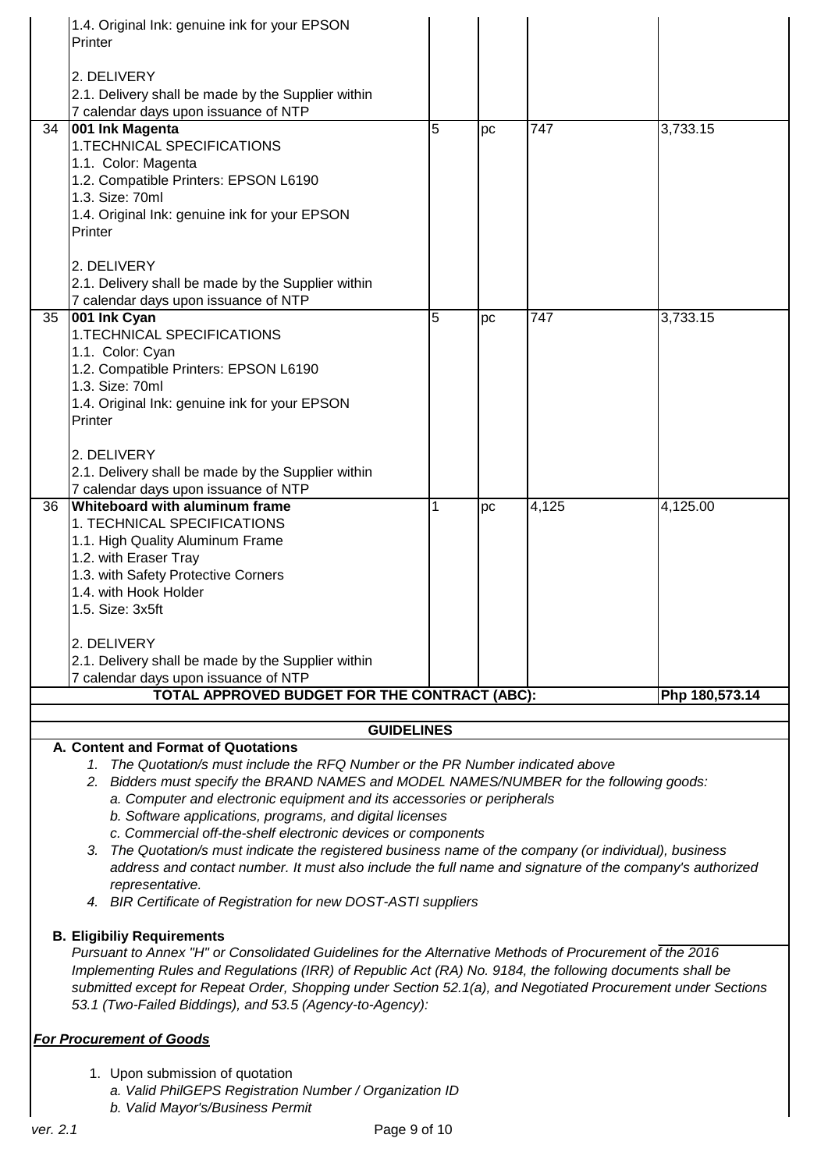|    | 1.4. Original Ink: genuine ink for your EPSON                                                                                                                             |   |    |                  |                |
|----|---------------------------------------------------------------------------------------------------------------------------------------------------------------------------|---|----|------------------|----------------|
|    | Printer                                                                                                                                                                   |   |    |                  |                |
|    | 2. DELIVERY                                                                                                                                                               |   |    |                  |                |
|    | 2.1. Delivery shall be made by the Supplier within                                                                                                                        |   |    |                  |                |
|    | 7 calendar days upon issuance of NTP                                                                                                                                      |   |    |                  |                |
| 34 | 001 Ink Magenta                                                                                                                                                           | 5 | pc | $\overline{747}$ | 3,733.15       |
|    | 1. TECHNICAL SPECIFICATIONS                                                                                                                                               |   |    |                  |                |
|    | 1.1. Color: Magenta                                                                                                                                                       |   |    |                  |                |
|    | 1.2. Compatible Printers: EPSON L6190<br>1.3. Size: 70ml                                                                                                                  |   |    |                  |                |
|    | 1.4. Original Ink: genuine ink for your EPSON                                                                                                                             |   |    |                  |                |
|    | Printer                                                                                                                                                                   |   |    |                  |                |
|    |                                                                                                                                                                           |   |    |                  |                |
|    | 2. DELIVERY                                                                                                                                                               |   |    |                  |                |
|    | 2.1. Delivery shall be made by the Supplier within                                                                                                                        |   |    |                  |                |
|    | 7 calendar days upon issuance of NTP                                                                                                                                      |   |    |                  |                |
| 35 | 001 Ink Cyan<br>1.TECHNICAL SPECIFICATIONS                                                                                                                                | 5 | pc | 747              | 3,733.15       |
|    | 1.1. Color: Cyan                                                                                                                                                          |   |    |                  |                |
|    | 1.2. Compatible Printers: EPSON L6190                                                                                                                                     |   |    |                  |                |
|    | 1.3. Size: 70ml                                                                                                                                                           |   |    |                  |                |
|    | 1.4. Original Ink: genuine ink for your EPSON                                                                                                                             |   |    |                  |                |
|    | Printer                                                                                                                                                                   |   |    |                  |                |
|    | 2. DELIVERY                                                                                                                                                               |   |    |                  |                |
|    | 2.1. Delivery shall be made by the Supplier within                                                                                                                        |   |    |                  |                |
|    | 7 calendar days upon issuance of NTP                                                                                                                                      |   |    |                  |                |
| 36 | <b>Whiteboard with aluminum frame</b>                                                                                                                                     | 1 | pc | 4,125            | 4,125.00       |
|    | 1. TECHNICAL SPECIFICATIONS                                                                                                                                               |   |    |                  |                |
|    | 1.1. High Quality Aluminum Frame                                                                                                                                          |   |    |                  |                |
|    | 1.2. with Eraser Tray                                                                                                                                                     |   |    |                  |                |
|    | 1.3. with Safety Protective Corners<br>1.4. with Hook Holder                                                                                                              |   |    |                  |                |
|    | 1.5. Size: 3x5ft                                                                                                                                                          |   |    |                  |                |
|    |                                                                                                                                                                           |   |    |                  |                |
|    | 2. DELIVERY                                                                                                                                                               |   |    |                  |                |
|    | 2.1. Delivery shall be made by the Supplier within                                                                                                                        |   |    |                  |                |
|    | 7 calendar days upon issuance of NTP                                                                                                                                      |   |    |                  |                |
|    | TOTAL APPROVED BUDGET FOR THE CONTRACT (ABC):                                                                                                                             |   |    |                  | Php 180,573.14 |
|    | <b>GUIDELINES</b>                                                                                                                                                         |   |    |                  |                |
|    | A. Content and Format of Quotations                                                                                                                                       |   |    |                  |                |
|    | 1. The Quotation/s must include the RFQ Number or the PR Number indicated above                                                                                           |   |    |                  |                |
|    | 2. Bidders must specify the BRAND NAMES and MODEL NAMES/NUMBER for the following goods:                                                                                   |   |    |                  |                |
|    | a. Computer and electronic equipment and its accessories or peripherals                                                                                                   |   |    |                  |                |
|    | b. Software applications, programs, and digital licenses                                                                                                                  |   |    |                  |                |
|    | c. Commercial off-the-shelf electronic devices or components<br>The Quotation/s must indicate the registered business name of the company (or individual), business<br>3. |   |    |                  |                |
|    | address and contact number. It must also include the full name and signature of the company's authorized                                                                  |   |    |                  |                |
|    | representative.                                                                                                                                                           |   |    |                  |                |
|    | 4. BIR Certificate of Registration for new DOST-ASTI suppliers                                                                                                            |   |    |                  |                |
|    |                                                                                                                                                                           |   |    |                  |                |
|    | <b>B. Eligibiliy Requirements</b><br>Pursuant to Annex "H" or Consolidated Guidelines for the Alternative Methods of Procurement of the 2016                              |   |    |                  |                |
|    | Implementing Rules and Regulations (IRR) of Republic Act (RA) No. 9184, the following documents shall be                                                                  |   |    |                  |                |
|    | submitted except for Repeat Order, Shopping under Section 52.1(a), and Negotiated Procurement under Sections                                                              |   |    |                  |                |
|    | 53.1 (Two-Failed Biddings), and 53.5 (Agency-to-Agency):                                                                                                                  |   |    |                  |                |
|    |                                                                                                                                                                           |   |    |                  |                |
|    | <b>For Procurement of Goods</b>                                                                                                                                           |   |    |                  |                |
|    |                                                                                                                                                                           |   |    |                  |                |

- 1. Upon submission of quotation
	- *a. Valid PhilGEPS Registration Number / Organization ID*
	- *b. Valid Mayor's/Business Permit*